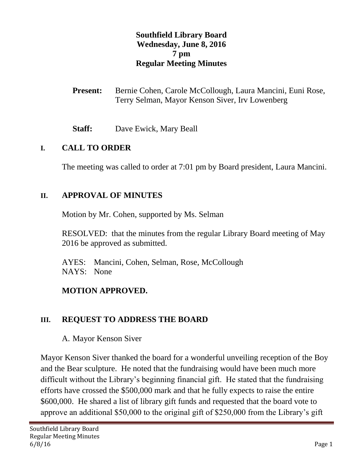#### **Southfield Library Board Wednesday, June 8, 2016 7 pm Regular Meeting Minutes**

- Present: Bernie Cohen, Carole McCollough, Laura Mancini, Euni Rose, Terry Selman, Mayor Kenson Siver, Irv Lowenberg
- **Staff:** Dave Ewick, Mary Beall

#### **I. CALL TO ORDER**

The meeting was called to order at 7:01 pm by Board president, Laura Mancini.

#### **II. APPROVAL OF MINUTES**

Motion by Mr. Cohen, supported by Ms. Selman

RESOLVED: that the minutes from the regular Library Board meeting of May 2016 be approved as submitted.

AYES: Mancini, Cohen, Selman, Rose, McCollough NAYS: None

#### **MOTION APPROVED.**

#### **III. REQUEST TO ADDRESS THE BOARD**

A. Mayor Kenson Siver

Mayor Kenson Siver thanked the board for a wonderful unveiling reception of the Boy and the Bear sculpture. He noted that the fundraising would have been much more difficult without the Library's beginning financial gift. He stated that the fundraising efforts have crossed the \$500,000 mark and that he fully expects to raise the entire \$600,000. He shared a list of library gift funds and requested that the board vote to approve an additional \$50,000 to the original gift of \$250,000 from the Library's gift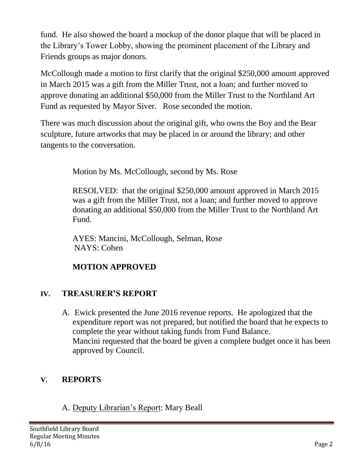fund. He also showed the board a mockup of the donor plaque that will be placed in the Library's Tower Lobby, showing the prominent placement of the Library and Friends groups as major donors.

McCollough made a motion to first clarify that the original \$250,000 amount approved in March 2015 was a gift from the Miller Trust, not a loan; and further moved to approve donating an additional \$50,000 from the Miller Trust to the Northland Art Fund as requested by Mayor Siver. Rose seconded the motion.

There was much discussion about the original gift, who owns the Boy and the Bear sculpture, future artworks that may be placed in or around the library; and other tangents to the conversation.

Motion by Ms. McCollough, second by Ms. Rose

RESOLVED: that the original \$250,000 amount approved in March 2015 was a gift from the Miller Trust, not a loan; and further moved to approve donating an additional \$50,000 from the Miller Trust to the Northland Art Fund.

AYES: Mancini, McCollough, Selman, Rose NAYS: Cohen

# **MOTION APPROVED**

# **IV. TREASURER'S REPORT**

A. Ewick presented the June 2016 revenue reports. He apologized that the expenditure report was not prepared, but notified the board that he expects to complete the year without taking funds from Fund Balance. Mancini requested that the board be given a complete budget once it has been approved by Council.

# **V. REPORTS**

# A. Deputy Librarian's Report: Mary Beall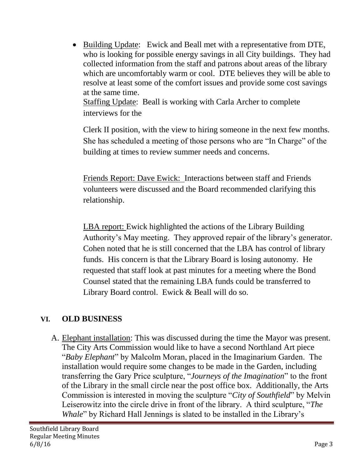• Building Update: Ewick and Beall met with a representative from DTE, who is looking for possible energy savings in all City buildings. They had collected information from the staff and patrons about areas of the library which are uncomfortably warm or cool. DTE believes they will be able to resolve at least some of the comfort issues and provide some cost savings at the same time.

Staffing Update: Beall is working with Carla Archer to complete interviews for the

Clerk II position, with the view to hiring someone in the next few months. She has scheduled a meeting of those persons who are "In Charge" of the building at times to review summer needs and concerns.

Friends Report: Dave Ewick: Interactions between staff and Friends volunteers were discussed and the Board recommended clarifying this relationship.

LBA report: Ewick highlighted the actions of the Library Building Authority's May meeting. They approved repair of the library's generator. Cohen noted that he is still concerned that the LBA has control of library funds. His concern is that the Library Board is losing autonomy. He requested that staff look at past minutes for a meeting where the Bond Counsel stated that the remaining LBA funds could be transferred to Library Board control. Ewick & Beall will do so.

#### **VI. OLD BUSINESS**

A. Elephant installation: This was discussed during the time the Mayor was present. The City Arts Commission would like to have a second Northland Art piece "*Baby Elephant*" by Malcolm Moran, placed in the Imaginarium Garden. The installation would require some changes to be made in the Garden, including transferring the Gary Price sculpture, "*Journeys of the Imagination*" to the front of the Library in the small circle near the post office box. Additionally, the Arts Commission is interested in moving the sculpture "*City of Southfield*" by Melvin Leiserowitz into the circle drive in front of the library. A third sculpture, "*The Whale*" by Richard Hall Jennings is slated to be installed in the Library's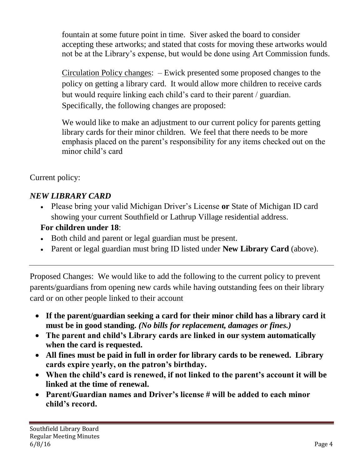fountain at some future point in time. Siver asked the board to consider accepting these artworks; and stated that costs for moving these artworks would not be at the Library's expense, but would be done using Art Commission funds.

Circulation Policy changes: – Ewick presented some proposed changes to the policy on getting a library card. It would allow more children to receive cards but would require linking each child's card to their parent / guardian. Specifically, the following changes are proposed:

We would like to make an adjustment to our current policy for parents getting library cards for their minor children. We feel that there needs to be more emphasis placed on the parent's responsibility for any items checked out on the minor child's card

## Current policy:

# *NEW LIBRARY CARD*

 Please bring your valid Michigan Driver's License **or** State of Michigan ID card showing your current Southfield or Lathrup Village residential address.

### **For children under 18**:

- Both child and parent or legal guardian must be present.
- Parent or legal guardian must bring ID listed under **New Library Card** (above).

Proposed Changes: We would like to add the following to the current policy to prevent parents/guardians from opening new cards while having outstanding fees on their library card or on other people linked to their account

- **If the parent/guardian seeking a card for their minor child has a library card it must be in good standing.** *(No bills for replacement, damages or fines.)*
- **The parent and child's Library cards are linked in our system automatically when the card is requested.**
- **All fines must be paid in full in order for library cards to be renewed. Library cards expire yearly, on the patron's birthday.**
- **When the child's card is renewed, if not linked to the parent's account it will be linked at the time of renewal.**
- **Parent/Guardian names and Driver's license # will be added to each minor child's record.**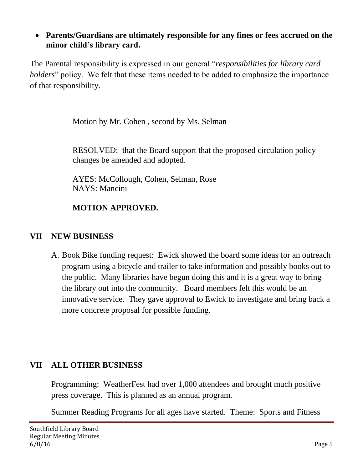**Parents/Guardians are ultimately responsible for any fines or fees accrued on the minor child's library card.**

The Parental responsibility is expressed in our general "*responsibilities for library card holders*" policy. We felt that these items needed to be added to emphasize the importance of that responsibility.

Motion by Mr. Cohen , second by Ms. Selman

RESOLVED: that the Board support that the proposed circulation policy changes be amended and adopted.

AYES: McCollough, Cohen, Selman, Rose NAYS: Mancini

## **MOTION APPROVED.**

#### **VII NEW BUSINESS**

A. Book Bike funding request: Ewick showed the board some ideas for an outreach program using a bicycle and trailer to take information and possibly books out to the public. Many libraries have begun doing this and it is a great way to bring the library out into the community. Board members felt this would be an innovative service. They gave approval to Ewick to investigate and bring back a more concrete proposal for possible funding.

#### **VII ALL OTHER BUSINESS**

Programming: WeatherFest had over 1,000 attendees and brought much positive press coverage. This is planned as an annual program.

Summer Reading Programs for all ages have started. Theme: Sports and Fitness